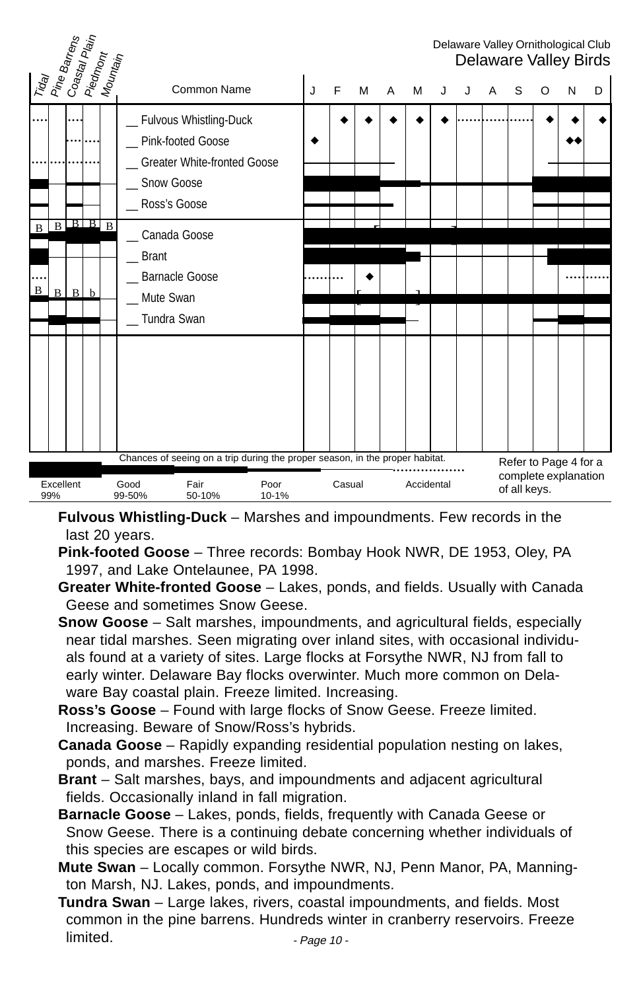#### Delaware Valley Ornithological Club Delaware Valley Birds Tiday Pine Barrens<br>Coastal Plain<br>Piedmont<br>Mountain Common Name J J F M A M J J A S O N D Fulvous Whistling-Duck Pink-footed Goose Greater White-fronted Goose Snow Goose Ross's Goose \_\_ Canada Goose \_\_ Brant Barnacle Goose Mute Swan \_\_ Tundra Swan ..... ..... .... .....|....|.... **+ |+ |+ |+ |......|......|.....| +|+|+** \* | | | | | | | | | | **| \*\*** ....  $B$   $B$   $B$   $B$   $B$  $B \mid B \mid B$  b .......... ! ........... f<br>9. – Paris III.<br>9. – Paris II.  $[$   $]$ Excellent Good Fair Poor Casual Accidental<br>99% 99-50% 50-10% 10-1% 99-50% Chances of seeing on a trip during the proper season, in the proper habitat. Refer to Page 4 for a complete explanation of all keys. ....

**Fulvous Whistling-Duck** – Marshes and impoundments. Few records in the last 20 years.

- **Pink-footed Goose** Three records: Bombay Hook NWR, DE 1953, Oley, PA 1997, and Lake Ontelaunee, PA 1998.
- **Greater White-fronted Goose** Lakes, ponds, and fields. Usually with Canada Geese and sometimes Snow Geese.

**Snow Goose** – Salt marshes, impoundments, and agricultural fields, especially near tidal marshes. Seen migrating over inland sites, with occasional individuals found at a variety of sites. Large flocks at Forsythe NWR, NJ from fall to early winter. Delaware Bay flocks overwinter. Much more common on Delaware Bay coastal plain. Freeze limited. Increasing.

**Ross's Goose** – Found with large flocks of Snow Geese. Freeze limited. Increasing. Beware of Snow/Ross's hybrids.

**Canada Goose** – Rapidly expanding residential population nesting on lakes, ponds, and marshes. Freeze limited.

**Brant** – Salt marshes, bays, and impoundments and adjacent agricultural fields. Occasionally inland in fall migration.

**Barnacle Goose** – Lakes, ponds, fields, frequently with Canada Geese or Snow Geese. There is a continuing debate concerning whether individuals of this species are escapes or wild birds.

**Mute Swan** – Locally common. Forsythe NWR, NJ, Penn Manor, PA, Mannington Marsh, NJ. Lakes, ponds, and impoundments.

**Tundra Swan** – Large lakes, rivers, coastal impoundments, and fields. Most common in the pine barrens. Hundreds winter in cranberry reservoirs. Freeze limited. - Page 10 -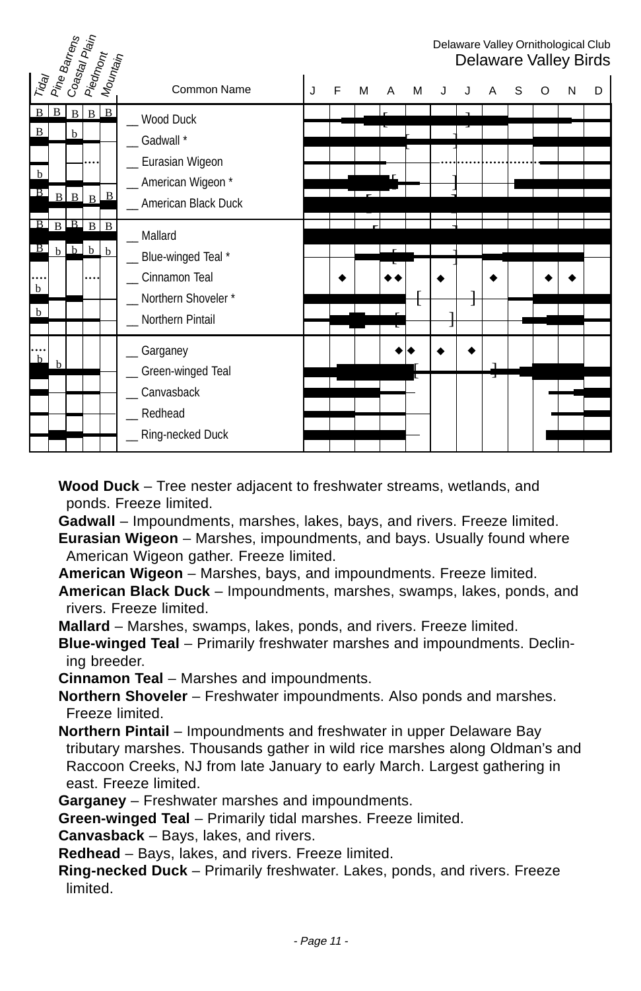|                                                                | Pine Barrens | Co <sub>astal</sub> Pl <sub>ain</sub>  | Piedmont<br>  Mountain |              |                                                                                                |   |   |   |   |   |  |   |   |   | Delaware Valley Ornithological Club<br>Delaware Valley Birds |   |
|----------------------------------------------------------------|--------------|----------------------------------------|------------------------|--------------|------------------------------------------------------------------------------------------------|---|---|---|---|---|--|---|---|---|--------------------------------------------------------------|---|
| Trag                                                           |              |                                        |                        |              | Common Name                                                                                    | J | F | M | A | M |  | A | S | O | N                                                            | D |
| $\mathbf{B}$<br>$\mathbf{B}$<br>$\mathbf b$<br>B               |              | $\mathbf{B}$<br>h<br>$B \mid B \mid B$ | $B \Box B$             | $\mathbf{B}$ | Wood Duck<br>$\_$ Gadwall $*$<br>Eurasian Wigeon<br>_ American Wigeon *<br>American Black Duck |   |   |   |   |   |  |   |   |   |                                                              |   |
| $B$ $B$ $B$ $B$ $B$<br>$\Box$<br>$\mathbf b$<br>  <sub>b</sub> |              | $b$ $b$ $b$ $b$                        |                        |              | _ Mallard<br>Blue-winged Teal *<br>Cinnamon Teal<br>Northern Shoveler*<br>Northern Pintail     |   |   |   |   |   |  |   |   |   |                                                              |   |
| $\mathbf b$                                                    | h            |                                        |                        |              | Garganey<br>Green-winged Teal<br>Canvasback<br>Redhead<br>Ring-necked Duck                     |   |   |   |   |   |  | J |   |   |                                                              |   |

**Wood Duck** – Tree nester adjacent to freshwater streams, wetlands, and ponds. Freeze limited.

**Gadwall** – Impoundments, marshes, lakes, bays, and rivers. Freeze limited.

**Eurasian Wigeon** – Marshes, impoundments, and bays. Usually found where American Wigeon gather. Freeze limited.

**American Wigeon** – Marshes, bays, and impoundments. Freeze limited.

**American Black Duck** – Impoundments, marshes, swamps, lakes, ponds, and rivers. Freeze limited.

**Mallard** – Marshes, swamps, lakes, ponds, and rivers. Freeze limited.

**Blue-winged Teal** – Primarily freshwater marshes and impoundments. Declining breeder.

**Cinnamon Teal** – Marshes and impoundments.

**Northern Shoveler** – Freshwater impoundments. Also ponds and marshes. Freeze limited.

**Northern Pintail** – Impoundments and freshwater in upper Delaware Bay tributary marshes. Thousands gather in wild rice marshes along Oldman's and Raccoon Creeks, NJ from late January to early March. Largest gathering in east. Freeze limited.

**Garganey** – Freshwater marshes and impoundments.

**Green-winged Teal** – Primarily tidal marshes. Freeze limited.

**Canvasback** – Bays, lakes, and rivers.

**Redhead** – Bays, lakes, and rivers. Freeze limited.

**Ring-necked Duck** – Primarily freshwater. Lakes, ponds, and rivers. Freeze limited.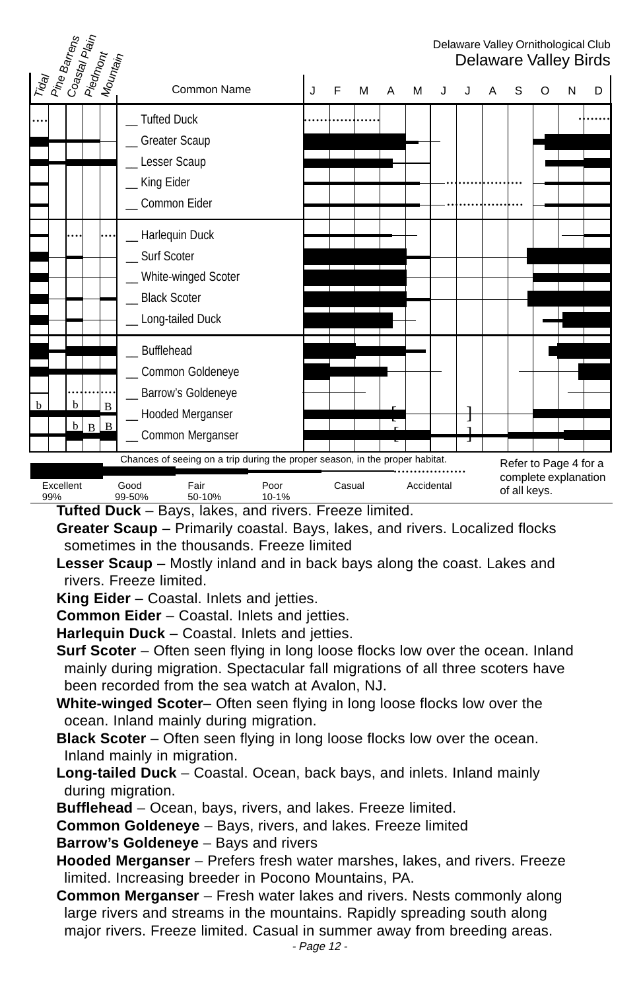

**Tufted Duck** – Bays, lakes, and rivers. Freeze limited.

- **Greater Scaup** Primarily coastal. Bays, lakes, and rivers. Localized flocks sometimes in the thousands. Freeze limited
- **Lesser Scaup** Mostly inland and in back bays along the coast. Lakes and rivers. Freeze limited.
- **King Eider** Coastal. Inlets and jetties.
- **Common Eider** Coastal. Inlets and jetties.

**Harlequin Duck** – Coastal. Inlets and jetties.

**Surf Scoter** – Often seen flying in long loose flocks low over the ocean. Inland mainly during migration. Spectacular fall migrations of all three scoters have been recorded from the sea watch at Avalon, NJ.

- **White-winged Scoter** Often seen flying in long loose flocks low over the ocean. Inland mainly during migration.
- **Black Scoter** Often seen flying in long loose flocks low over the ocean. Inland mainly in migration.
- **Long-tailed Duck** Coastal. Ocean, back bays, and inlets. Inland mainly during migration.
- **Bufflehead** Ocean, bays, rivers, and lakes. Freeze limited.
- **Common Goldeneye** Bays, rivers, and lakes. Freeze limited
- **Barrow's Goldeneye** Bays and rivers
- **Hooded Merganser** Prefers fresh water marshes, lakes, and rivers. Freeze limited. Increasing breeder in Pocono Mountains, PA.
- **Common Merganser** Fresh water lakes and rivers. Nests commonly along large rivers and streams in the mountains. Rapidly spreading south along major rivers. Freeze limited. Casual in summer away from breeding areas.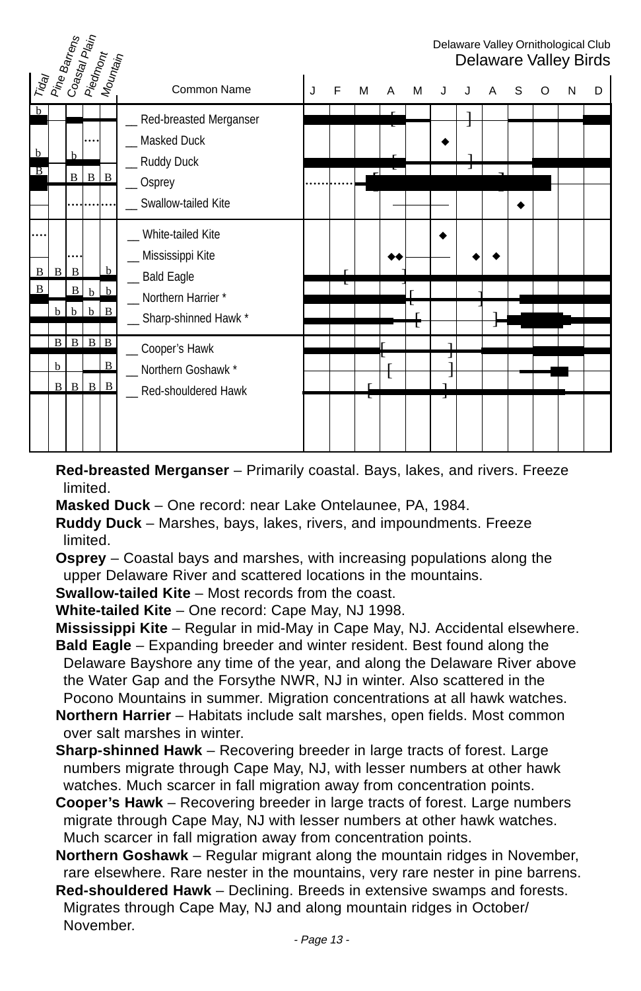|                        | Pine Barrens |                             | Coastal Plain<br>Piedmont<br>  Mountain |                |                                                                                         |   |   |   |   |   |   |   |   |   |   | Delaware Valley Ornithological Club<br>Delaware Valley Birds |   |
|------------------------|--------------|-----------------------------|-----------------------------------------|----------------|-----------------------------------------------------------------------------------------|---|---|---|---|---|---|---|---|---|---|--------------------------------------------------------------|---|
| Trag                   |              |                             |                                         |                | Common Name                                                                             | J | F | м | A | М | J |   | A | S | O | N                                                            | D |
| b<br>$\mathbf b$<br>ΓB |              | $\mathbf b$<br>$\mathbf{B}$ | $\mathbf B$                             | $\mathbf{B}$   | Red-breasted Merganser<br>Masked Duck<br>_ Ruddy Duck<br>_Osprey<br>Swallow-tailed Kite |   |   |   |   |   |   | Ţ |   |   |   |                                                              |   |
| B                      | $B \mid B$   |                             |                                         | b              | White-tailed Kite<br>_ Mississippi Kite                                                 |   |   |   |   |   |   |   |   |   |   |                                                              |   |
| B                      |              | B                           | $\mathbf{h}$                            | b              | _ Bald Eagle<br>Northern Harrier *                                                      |   |   |   |   |   |   |   |   |   |   |                                                              |   |
|                        | b            | h                           | b                                       | B              | _ Sharp-shinned Hawk *                                                                  |   |   |   |   |   |   |   |   |   |   |                                                              |   |
|                        | $\mathbf{B}$ | $\mathbf{R}$                | B                                       | lв             | _Cooper's Hawk                                                                          |   |   |   |   |   |   |   |   |   |   |                                                              |   |
|                        | b            |                             |                                         | $\overline{B}$ | Northern Goshawk *                                                                      |   |   |   |   |   |   |   |   |   |   |                                                              |   |
|                        | B            | $\mathbf{B}$                | $\mathbf{B}$                            | $\mathbf{B}$   | _ Red-shouldered Hawk                                                                   |   |   |   |   |   | J |   |   |   |   |                                                              |   |
|                        |              |                             |                                         |                |                                                                                         |   |   |   |   |   |   |   |   |   |   |                                                              |   |

**Red-breasted Merganser** – Primarily coastal. Bays, lakes, and rivers. Freeze limited.

**Masked Duck** – One record: near Lake Ontelaunee, PA, 1984.

**Ruddy Duck** – Marshes, bays, lakes, rivers, and impoundments. Freeze limited.

**Osprey** – Coastal bays and marshes, with increasing populations along the upper Delaware River and scattered locations in the mountains.

**Swallow-tailed Kite** – Most records from the coast.

**White-tailed Kite** – One record: Cape May, NJ 1998.

**Mississippi Kite** – Regular in mid-May in Cape May, NJ. Accidental elsewhere. **Bald Eagle** – Expanding breeder and winter resident. Best found along the Delaware Bayshore any time of the year, and along the Delaware River above the Water Gap and the Forsythe NWR, NJ in winter. Also scattered in the Pocono Mountains in summer. Migration concentrations at all hawk watches.

**Northern Harrier** – Habitats include salt marshes, open fields. Most common over salt marshes in winter.

- **Sharp-shinned Hawk** Recovering breeder in large tracts of forest. Large numbers migrate through Cape May, NJ, with lesser numbers at other hawk watches. Much scarcer in fall migration away from concentration points.
- **Cooper's Hawk** Recovering breeder in large tracts of forest. Large numbers migrate through Cape May, NJ with lesser numbers at other hawk watches. Much scarcer in fall migration away from concentration points.

**Northern Goshawk** – Regular migrant along the mountain ridges in November, rare elsewhere. Rare nester in the mountains, very rare nester in pine barrens.

**Red-shouldered Hawk** – Declining. Breeds in extensive swamps and forests. Migrates through Cape May, NJ and along mountain ridges in October/ November.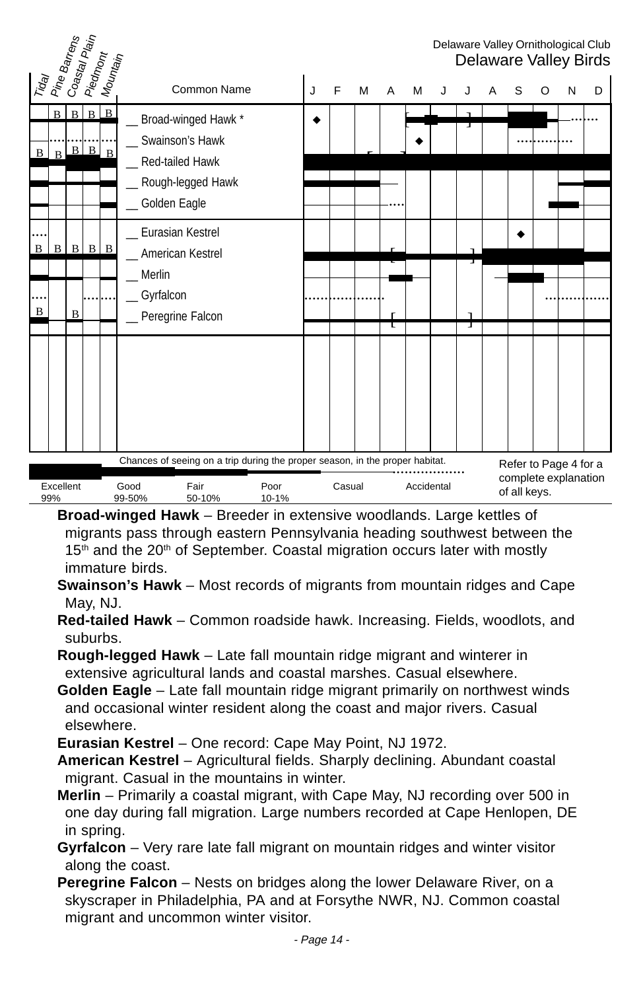| Traay<br>Pine Barrens<br>  Co <sub>astal Plain</sub> |                   |   | Piedmont                        | Mounta <sub>in</sub> |                                                                                                                                   |   |        |   |   |            |        |                                                               |   |   | Delaware Valley Ornithological Club<br>Delaware Valley Birds |
|------------------------------------------------------|-------------------|---|---------------------------------|----------------------|-----------------------------------------------------------------------------------------------------------------------------------|---|--------|---|---|------------|--------|---------------------------------------------------------------|---|---|--------------------------------------------------------------|
|                                                      |                   |   |                                 |                      | Common Name                                                                                                                       | J | F      | M | A | М          |        | S                                                             | O | N | D                                                            |
| $\mathbf B$                                          | B<br>$\mathbf{B}$ | B | $B \Box B$<br>$B \mid B \mid B$ |                      | Broad-winged Hawk *<br>Swainson's Hawk<br>Red-tailed Hawk<br>Rough-legged Hawk<br>Golden Eagle                                    |   |        |   |   |            | л      |                                                               |   |   |                                                              |
| B                                                    | <sub>B</sub>      |   | $B \mid B \mid B$               |                      | Eurasian Kestrel<br>American Kestrel                                                                                              |   |        |   |   |            |        |                                                               |   |   |                                                              |
| B                                                    |                   | B |                                 |                      | Merlin<br>Gyrfalcon<br>Peregrine Falcon                                                                                           |   |        |   | τ |            | ٦<br>т |                                                               |   |   |                                                              |
|                                                      |                   |   |                                 |                      |                                                                                                                                   |   |        |   |   |            |        |                                                               |   |   |                                                              |
|                                                      | Excellent<br>99%  |   |                                 |                      | Chances of seeing on a trip during the proper season, in the proper habitat.<br>Good<br>Fair<br>Poor<br>99-50%<br>50-10%<br>10-1% |   | Casual |   |   | Accidental |        | Refer to Page 4 for a<br>complete explanation<br>of all keys. |   |   |                                                              |

**Broad-winged Hawk** – Breeder in extensive woodlands. Large kettles of migrants pass through eastern Pennsylvania heading southwest between the  $15<sup>th</sup>$  and the 20<sup>th</sup> of September. Coastal migration occurs later with mostly immature birds.

- **Swainson's Hawk** Most records of migrants from mountain ridges and Cape May, NJ.
- **Red-tailed Hawk** Common roadside hawk. Increasing. Fields, woodlots, and suburbs.
- **Rough-legged Hawk** Late fall mountain ridge migrant and winterer in extensive agricultural lands and coastal marshes. Casual elsewhere.
- **Golden Eagle** Late fall mountain ridge migrant primarily on northwest winds and occasional winter resident along the coast and major rivers. Casual elsewhere.

**Eurasian Kestrel** – One record: Cape May Point, NJ 1972.

- **American Kestrel** Agricultural fields. Sharply declining. Abundant coastal migrant. Casual in the mountains in winter.
- **Merlin** Primarily a coastal migrant, with Cape May, NJ recording over 500 in one day during fall migration. Large numbers recorded at Cape Henlopen, DE in spring.
- **Gyrfalcon** Very rare late fall migrant on mountain ridges and winter visitor along the coast.
- **Peregrine Falcon** Nests on bridges along the lower Delaware River, on a skyscraper in Philadelphia, PA and at Forsythe NWR, NJ. Common coastal migrant and uncommon winter visitor.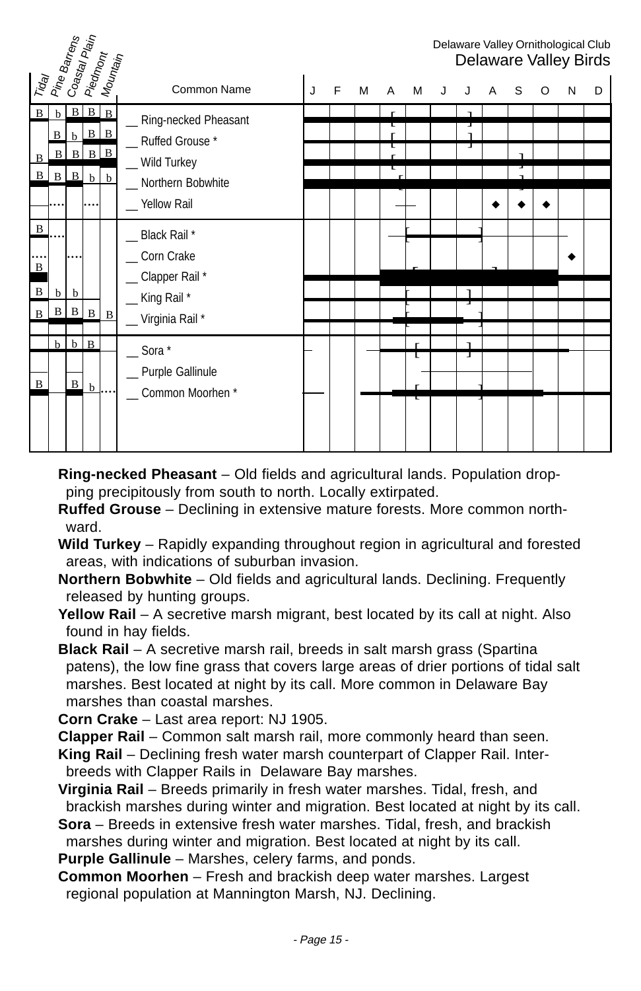|                                                         | Pine Barrens               |                           |                                                     | Coastal Plain<br>  Piedmo <sub>nt</sub> |                                                                                                |   |   |   |   |   |   |        |   |   |   |   | Delaware Valley Ornithological Club<br>Delaware Valley Birds |
|---------------------------------------------------------|----------------------------|---------------------------|-----------------------------------------------------|-----------------------------------------|------------------------------------------------------------------------------------------------|---|---|---|---|---|---|--------|---|---|---|---|--------------------------------------------------------------|
| Trag                                                    |                            |                           |                                                     | Mounta <sub>in</sub>                    | Common Name                                                                                    | J | F | M | A | м | J |        | A | S | O | N | D                                                            |
| $\bf{B}$<br>$\, {\bf B}$<br>$\mathbf{B}$                | $\mathbf b$<br>B<br>B<br>B | $\mathbf{B}$<br>$\vert$ B | $B \mid B \mid B$<br>$b$ $B$ $B$<br>$\mathbf b$<br> | $B \ B$<br>$\mathbf b$                  | _ Ring-necked Pheasant<br>_Ruffed Grouse*<br>_ Wild Turkey<br>Northern Bobwhite<br>Yellow Rail |   |   |   |   |   |   | J      |   |   |   |   |                                                              |
| $\, {\bf B}$<br>$\bf{B}$<br>$\, {\bf B}$<br>$\mathbf B$ | b<br>$\vert$ B             | b                         | $B \ B$                                             | B                                       | _ Black Rail *<br>Corn Crake<br>_ Clapper Rail *<br>_King Rail*<br>_ Virginia Rail *           |   |   |   |   |   |   |        |   |   |   |   |                                                              |
| B                                                       | $\mathbf{h}$               | $\mathbf{B}$              | $b \mid B$<br>$\mathbf b$                           |                                         | $\sim$ Sora $*$<br>_ Purple Gallinule<br>Common Moorhen*                                       |   |   |   |   |   |   | ٦<br>J |   |   |   |   |                                                              |

**Ring-necked Pheasant** – Old fields and agricultural lands. Population dropping precipitously from south to north. Locally extirpated.

- **Ruffed Grouse** Declining in extensive mature forests. More common northward.
- **Wild Turkey** Rapidly expanding throughout region in agricultural and forested areas, with indications of suburban invasion.
- **Northern Bobwhite** Old fields and agricultural lands. Declining. Frequently released by hunting groups.
- **Yellow Rail** A secretive marsh migrant, best located by its call at night. Also found in hay fields.
- **Black Rail**  A secretive marsh rail, breeds in salt marsh grass (Spartina patens), the low fine grass that covers large areas of drier portions of tidal salt marshes. Best located at night by its call. More common in Delaware Bay marshes than coastal marshes.

**Corn Crake** – Last area report: NJ 1905.

**Clapper Rail** – Common salt marsh rail, more commonly heard than seen.

**King Rail** – Declining fresh water marsh counterpart of Clapper Rail. Interbreeds with Clapper Rails in Delaware Bay marshes.

- **Virginia Rail** Breeds primarily in fresh water marshes. Tidal, fresh, and brackish marshes during winter and migration. Best located at night by its call.
- **Sora**  Breeds in extensive fresh water marshes. Tidal, fresh, and brackish marshes during winter and migration. Best located at night by its call.

**Purple Gallinule** – Marshes, celery farms, and ponds.

**Common Moorhen** – Fresh and brackish deep water marshes. Largest regional population at Mannington Marsh, NJ. Declining.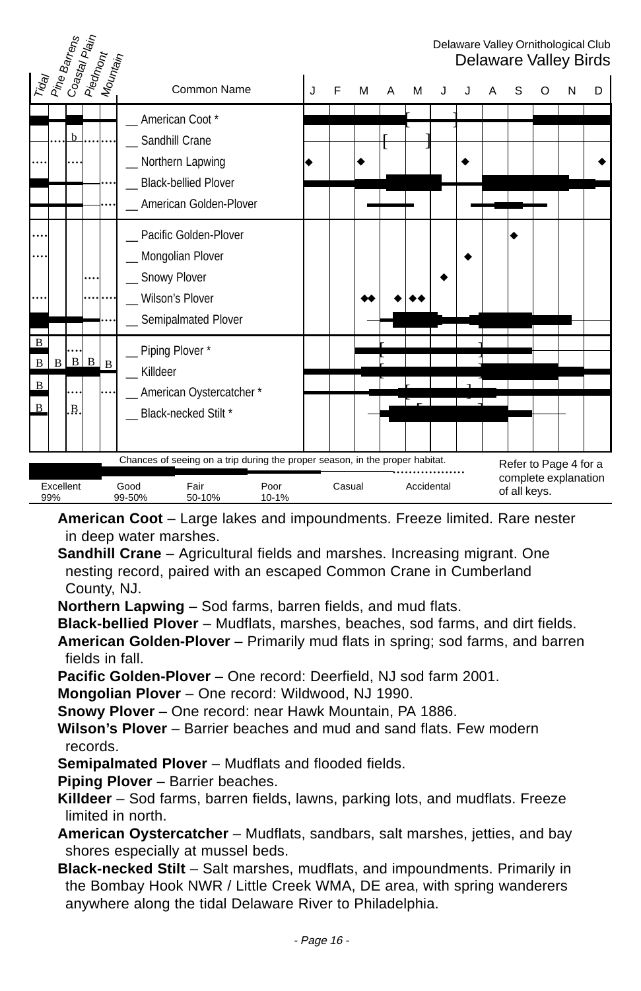| Trday<br>Pine Barrens<br>  Coastal Plain<br>Piedmont<br>Mounta <sub>in</sub>                 |                                                                                                                                   |   |        |   |   |            |  |              |   |                                               | Delaware Valley Ornithological Club<br>Delaware Valley Birds |
|----------------------------------------------------------------------------------------------|-----------------------------------------------------------------------------------------------------------------------------------|---|--------|---|---|------------|--|--------------|---|-----------------------------------------------|--------------------------------------------------------------|
|                                                                                              | Common Name                                                                                                                       | J | F      | M | А | М          |  | S            | O | N                                             | D                                                            |
| b.                                                                                           | American Coot*<br>Sandhill Crane<br>_ Northern Lapwing<br><b>Black-bellied Plover</b><br>American Golden-Plover                   |   |        |   |   |            |  |              |   |                                               |                                                              |
|                                                                                              | Pacific Golden-Plover<br>Mongolian Plover<br>_ Snowy Plover<br>Wilson's Plover<br>Semipalmated Plover                             |   |        |   |   |            |  |              |   |                                               |                                                              |
| $\overline{B}$<br>$\, {\bf B}$<br>$B \mid B \mid B$<br>$\vert$ B<br>B<br>$\mathbf{B}$<br>.B. | _ Piping Plover*<br>Killdeer<br>American Oystercatcher*<br>_Black-necked Stilt*                                                   |   |        |   |   |            |  |              |   |                                               |                                                              |
| Excellent<br>99%                                                                             | Chances of seeing on a trip during the proper season, in the proper habitat.<br>Good<br>Fair<br>Poor<br>99-50%<br>50-10%<br>10-1% |   | Casual |   |   | Accidental |  | of all keys. |   | Refer to Page 4 for a<br>complete explanation |                                                              |

**American Coot** – Large lakes and impoundments. Freeze limited. Rare nester in deep water marshes.

**Sandhill Crane** – Agricultural fields and marshes. Increasing migrant. One nesting record, paired with an escaped Common Crane in Cumberland County, NJ.

**Northern Lapwing** – Sod farms, barren fields, and mud flats.

**Black-bellied Plover** – Mudflats, marshes, beaches, sod farms, and dirt fields.

**American Golden-Plover** – Primarily mud flats in spring; sod farms, and barren fields in fall.

**Pacific Golden-Plover** – One record: Deerfield, NJ sod farm 2001.

**Mongolian Plover** – One record: Wildwood, NJ 1990.

**Snowy Plover** – One record: near Hawk Mountain, PA 1886.

- **Wilson's Plover** Barrier beaches and mud and sand flats. Few modern records.
- **Semipalmated Plover** Mudflats and flooded fields.

**Piping Plover** – Barrier beaches.

**Killdeer** – Sod farms, barren fields, lawns, parking lots, and mudflats. Freeze limited in north.

- **American Oystercatcher** Mudflats, sandbars, salt marshes, jetties, and bay shores especially at mussel beds.
- **Black-necked Stilt** Salt marshes, mudflats, and impoundments. Primarily in the Bombay Hook NWR / Little Creek WMA, DE area, with spring wanderers anywhere along the tidal Delaware River to Philadelphia.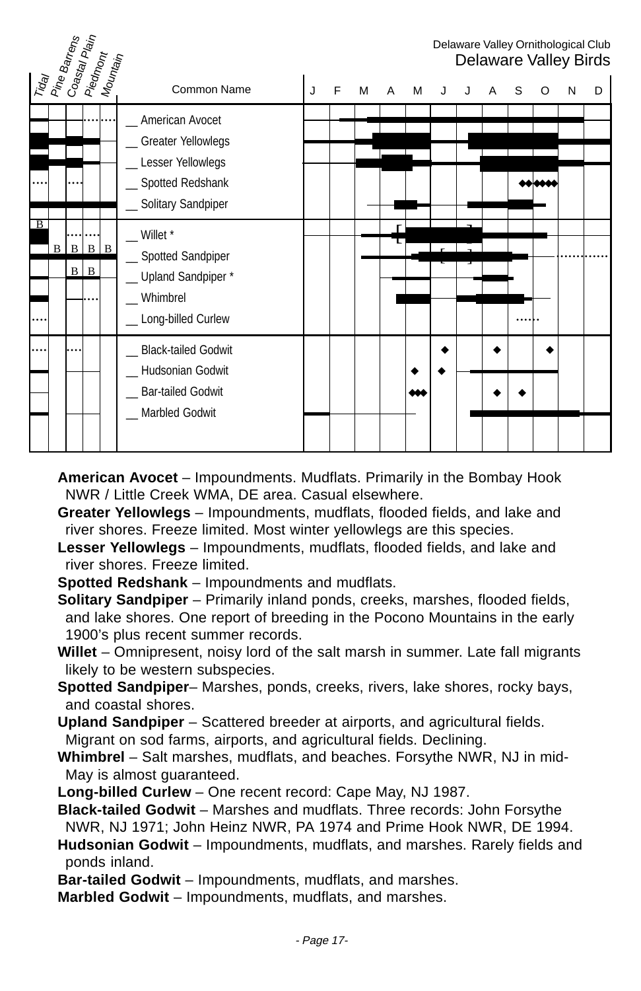| Trday<br>  Pine Barrens<br>Coastal Piain<br>  Piedmont<br>  Mountain |                                                                                                             |   |   |   |   |   |  |   |   |   |   | Delaware Valley Ornithological Club<br>Delaware Valley Birds |
|----------------------------------------------------------------------|-------------------------------------------------------------------------------------------------------------|---|---|---|---|---|--|---|---|---|---|--------------------------------------------------------------|
|                                                                      | Common Name                                                                                                 | J | F | м | A | м |  | A | S | O | N | D                                                            |
|                                                                      | _ American Avocet<br>_ Greater Yellowlegs<br>_Lesser Yellowlegs<br>Spotted Redshank<br>_ Solitary Sandpiper |   |   |   |   |   |  |   |   |   |   |                                                              |
| ΓB<br>B<br>$B \mid B$<br>$\mathbf{B}$<br>$B \mid B$                  | $\_$ Willet $*$<br>_ Spotted Sandpiper<br>_ Upland Sandpiper*<br>Whimbrel<br>_ Long-billed Curlew           |   |   |   |   |   |  |   |   |   |   |                                                              |
|                                                                      | <b>Black-tailed Godwit</b><br>Hudsonian Godwit<br><b>Bar-tailed Godwit</b><br>_Marbled Godwit               |   |   |   |   | œ |  |   |   |   |   |                                                              |

- **American Avocet** Impoundments. Mudflats. Primarily in the Bombay Hook NWR / Little Creek WMA, DE area. Casual elsewhere.
- **Greater Yellowlegs** Impoundments, mudflats, flooded fields, and lake and river shores. Freeze limited. Most winter yellowlegs are this species.
- **Lesser Yellowlegs** Impoundments, mudflats, flooded fields, and lake and river shores. Freeze limited.
- **Spotted Redshank** Impoundments and mudflats.
- **Solitary Sandpiper** Primarily inland ponds, creeks, marshes, flooded fields, and lake shores. One report of breeding in the Pocono Mountains in the early 1900's plus recent summer records.
- **Willet** Omnipresent, noisy lord of the salt marsh in summer. Late fall migrants likely to be western subspecies.
- **Spotted Sandpiper** Marshes, ponds, creeks, rivers, lake shores, rocky bays, and coastal shores.
- **Upland Sandpiper** Scattered breeder at airports, and agricultural fields. Migrant on sod farms, airports, and agricultural fields. Declining.
- **Whimbrel** Salt marshes, mudflats, and beaches. Forsythe NWR, NJ in mid-May is almost guaranteed.
- **Long-billed Curlew** One recent record: Cape May, NJ 1987.
- **Black-tailed Godwit** Marshes and mudflats. Three records: John Forsythe NWR, NJ 1971; John Heinz NWR, PA 1974 and Prime Hook NWR, DE 1994.
- **Hudsonian Godwit** Impoundments, mudflats, and marshes. Rarely fields and ponds inland.
- **Bar-tailed Godwit** Impoundments, mudflats, and marshes.
- **Marbled Godwit** Impoundments, mudflats, and marshes.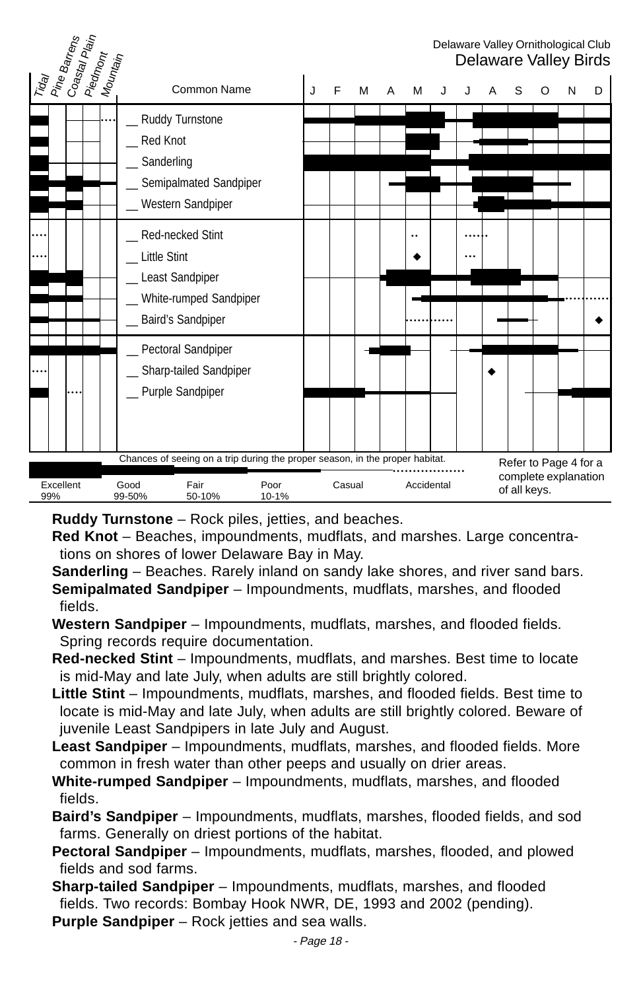| Tiday<br>Pine Barrens<br>Coastal Plain<br>Piedmont<br>Mountain |                                                                                                                                   |   |        |   |   |            |  |              |   |                                               | Delaware Valley Ornithological Club<br>Delaware Valley Birds |
|----------------------------------------------------------------|-----------------------------------------------------------------------------------------------------------------------------------|---|--------|---|---|------------|--|--------------|---|-----------------------------------------------|--------------------------------------------------------------|
|                                                                | Common Name                                                                                                                       | J | F      | М | А | M          |  | S            | O | N                                             | D                                                            |
|                                                                | _ Ruddy Turnstone<br><b>Red Knot</b><br>Sanderling<br>Semipalmated Sandpiper<br>Western Sandpiper                                 |   |        |   |   |            |  |              |   |                                               |                                                              |
|                                                                | Red-necked Stint<br><b>Little Stint</b><br>Least Sandpiper<br>White-rumped Sandpiper<br>Baird's Sandpiper                         |   |        |   |   |            |  |              |   |                                               |                                                              |
|                                                                | _ Pectoral Sandpiper<br>_ Sharp-tailed Sandpiper<br>_ Purple Sandpiper                                                            |   |        |   |   |            |  |              |   |                                               |                                                              |
| Excellent<br>99%                                               | Chances of seeing on a trip during the proper season, in the proper habitat.<br>Fair<br>Good<br>Poor<br>99-50%<br>50-10%<br>10-1% |   | Casual |   |   | Accidental |  | of all keys. |   | Refer to Page 4 for a<br>complete explanation |                                                              |

**Ruddy Turnstone** – Rock piles, jetties, and beaches.

- **Red Knot** Beaches, impoundments, mudflats, and marshes. Large concentrations on shores of lower Delaware Bay in May.
- **Sanderling** Beaches. Rarely inland on sandy lake shores, and river sand bars. **Semipalmated Sandpiper** – Impoundments, mudflats, marshes, and flooded fields.
- **Western Sandpiper** Impoundments, mudflats, marshes, and flooded fields. Spring records require documentation.
- **Red-necked Stint** Impoundments, mudflats, and marshes. Best time to locate is mid-May and late July, when adults are still brightly colored.
- **Little Stint** Impoundments, mudflats, marshes, and flooded fields. Best time to locate is mid-May and late July, when adults are still brightly colored. Beware of juvenile Least Sandpipers in late July and August.
- **Least Sandpiper** Impoundments, mudflats, marshes, and flooded fields. More common in fresh water than other peeps and usually on drier areas.
- **White-rumped Sandpiper** Impoundments, mudflats, marshes, and flooded fields.
- **Baird's Sandpiper** Impoundments, mudflats, marshes, flooded fields, and sod farms. Generally on driest portions of the habitat.
- **Pectoral Sandpiper** Impoundments, mudflats, marshes, flooded, and plowed fields and sod farms.
- **Sharp-tailed Sandpiper** Impoundments, mudflats, marshes, and flooded fields. Two records: Bombay Hook NWR, DE, 1993 and 2002 (pending).

**Purple Sandpiper** – Rock jetties and sea walls.